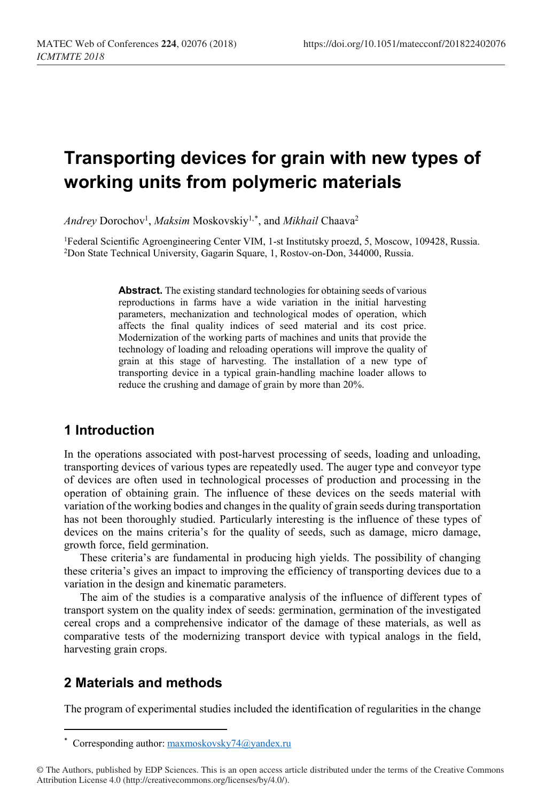# **Transporting devices for grain with new types of working units from polymeric materials**

 $Andrey$   $Dorochov<sup>1</sup>, *Maksim*  $Mostovskiy<sup>1,*</sup>$ , and *Mikhail*  $Chaava<sup>2</sup>$$  $Dorochov<sup>1</sup>, *Maksim*  $Mostovskiy<sup>1,*</sup>$ , and *Mikhail*  $Chaava<sup>2</sup>$$  $Dorochov<sup>1</sup>, *Maksim*  $Mostovskiy<sup>1,*</sup>$ , and *Mikhail*  $Chaava<sup>2</sup>$$ 

<sup>1</sup>Federal Scientific Agroengineering Center VIM, 1-st Institutsky proezd, 5, Moscow, 109428, Russia. 2Don State Technical University, Gagarin Square, 1, Rostov-on-Don, 344000, Russia.

> **Abstract.** The existing standard technologies for obtaining seeds of various reproductions in farms have a wide variation in the initial harvesting parameters, mechanization and technological modes of operation, which affects the final quality indices of seed material and its cost price. Modernization of the working parts of machines and units that provide the technology of loading and reloading operations will improve the quality of grain at this stage of harvesting. The installation of a new type of transporting device in a typical grain-handling machine loader allows to reduce the crushing and damage of grain by more than 20%.

## **1 Introduction**

In the operations associated with post-harvest processing of seeds, loading and unloading, transporting devices of various types are repeatedly used. The auger type and conveyor type of devices are often used in technological processes of production and processing in the operation of obtaining grain. The influence of these devices on the seeds material with variation of the working bodies and changes in the quality of grain seeds during transportation has not been thoroughly studied. Particularly interesting is the influence of these types of devices on the mains criteria's for the quality of seeds, such as damage, micro damage, growth force, field germination.

These criteria's are fundamental in producing high yields. The possibility of changing these criteria's gives an impact to improving the efficiency of transporting devices due to a variation in the design and kinematic parameters.

The aim of the studies is a comparative analysis of the influence of different types of transport system on the quality index of seeds: germination, germination of the investigated cereal crops and a comprehensive indicator of the damage of these materials, as well as comparative tests of the modernizing transport device with typical analogs in the field, harvesting grain crops.

## **2 Materials and methods**

 $\overline{a}$ 

The program of experimental studies included the identification of regularities in the change

<sup>\*</sup> Corresponding author: maxmoskovsky74@yandex.ru

<span id="page-0-0"></span><sup>©</sup> The Authors, published by EDP Sciences. This is an open access article distributed under the terms of the Creative Commons Attribution License 4.0 (http://creativecommons.org/licenses/by/4.0/).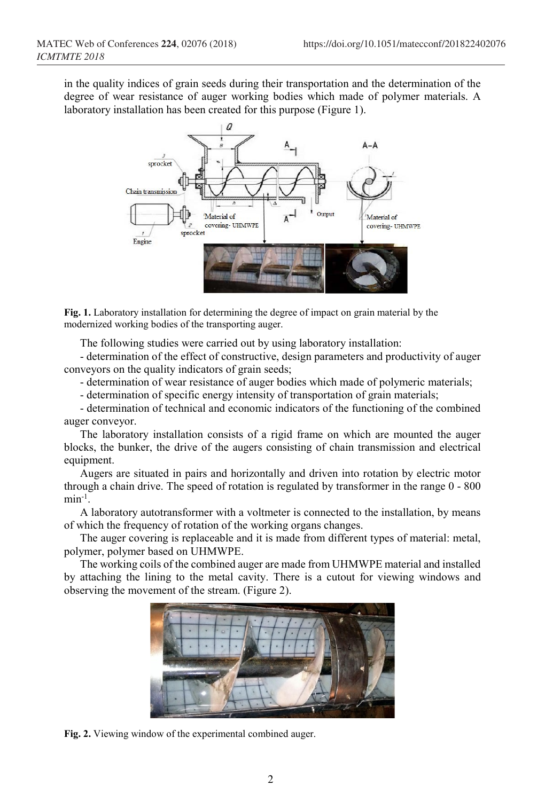in the quality indices of grain seeds during their transportation and the determination of the degree of wear resistance of auger working bodies which made of polymer materials. A laboratory installation has been created for this purpose (Figure 1).



**Fig. 1.** Laboratory installation for determining the degree of impact on grain material by the modernized working bodies of the transporting auger.

The following studies were carried out by using laboratory installation:

- determination of the effect of constructive, design parameters and productivity of auger conveyors on the quality indicators of grain seeds;

- determination of wear resistance of auger bodies which made of polymeric materials;

- determination of specific energy intensity of transportation of grain materials;

- determination of technical and economic indicators of the functioning of the combined auger conveyor.

The laboratory installation consists of a rigid frame on which are mounted the auger blocks, the bunker, the drive of the augers consisting of chain transmission and electrical equipment.

Augers are situated in pairs and horizontally and driven into rotation by electric motor through a chain drive. The speed of rotation is regulated by transformer in the range 0 - 800  $min^{-1}$ .

A laboratory autotransformer with a voltmeter is connected to the installation, by means of which the frequency of rotation of the working organs changes.

The auger covering is replaceable and it is made from different types of material: metal, polymer, polymer based on UHMWPE.

The working coils of the combined auger are made from UHMWPE material and installed by attaching the lining to the metal cavity. There is a cutout for viewing windows and observing the movement of the stream. (Figure 2).



**Fig. 2.** Viewing window of the experimental combined auger.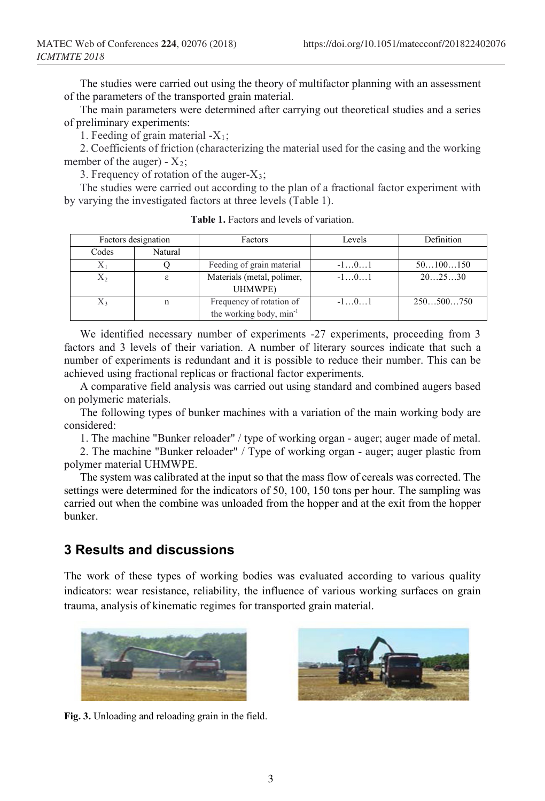The studies were carried out using the theory of multifactor planning with an assessment of the parameters of the transported grain material.

The main parameters were determined after carrying out theoretical studies and a series of preliminary experiments:

1. Feeding of grain material  $-X_1$ ;

2. Coefficients of friction (characterizing the material used for the casing and the working member of the auger) -  $X_2$ ;

3. Frequency of rotation of the auger-X3;

The studies were carried out according to the plan of a fractional factor experiment with by varying the investigated factors at three levels (Table 1).

| Factors designation |         | <b>Factors</b>                      | Levels | Definition |
|---------------------|---------|-------------------------------------|--------|------------|
| Codes               | Natural |                                     |        |            |
| $\rm X_1$           |         | Feeding of grain material           | $-101$ | 50100150   |
| Χ2                  | ε       | Materials (metal, polimer,          | $-101$ | 202530     |
|                     |         | UHMWPE)                             |        |            |
| Х,                  | n       | Frequency of rotation of            | $-101$ | 250500750  |
|                     |         | the working body, min <sup>-1</sup> |        |            |

**Table 1.** Factors and levels of variation.

We identified necessary number of experiments -27 experiments, proceeding from 3 factors and 3 levels of their variation. A number of literary sources indicate that such a number of experiments is redundant and it is possible to reduce their number. This can be achieved using fractional replicas or fractional factor experiments.

A comparative field analysis was carried out using standard and combined augers based on polymeric materials.

The following types of bunker machines with a variation of the main working body are considered:

1. The machine "Bunker reloader" / type of working organ - auger; auger made of metal.

2. The machine "Bunker reloader" / Type of working organ - auger; auger plastic from polymer material UHMWPE.

The system was calibrated at the input so that the mass flow of cereals was corrected. The settings were determined for the indicators of 50, 100, 150 tons per hour. The sampling was carried out when the combine was unloaded from the hopper and at the exit from the hopper bunker.

#### **3 Results and discussions**

The work of these types of working bodies was evaluated according to various quality indicators: wear resistance, reliability, the influence of various working surfaces on grain trauma, analysis of kinematic regimes for transported grain material.



**Fig. 3.** Unloading and reloading grain in the field.

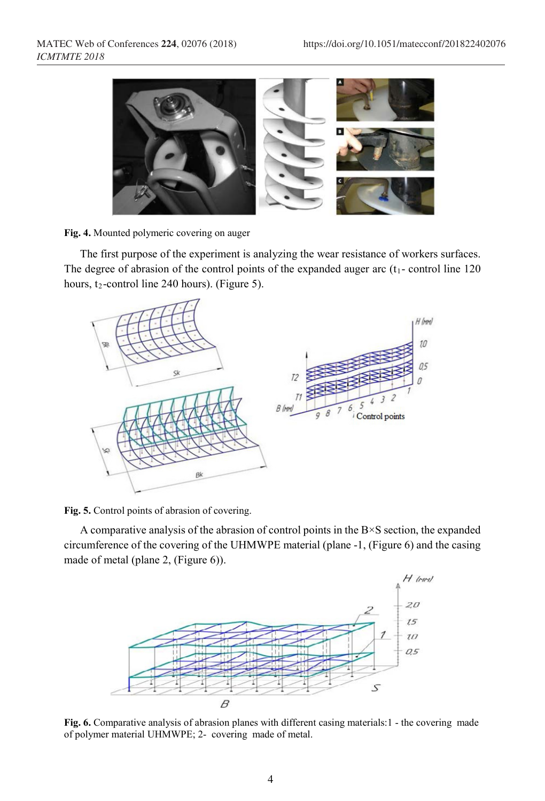

**Fig. 4.** Mounted polymeric covering on auger

The first purpose of the experiment is analyzing the wear resistance of workers surfaces. The degree of abrasion of the control points of the expanded auger arc  $(t_1$ - control line 120 hours,  $t_2$ -control line 240 hours). (Figure 5).



**Fig. 5.** Control points of abrasion of covering.

A comparative analysis of the abrasion of control points in the  $B \times S$  section, the expanded circumference of the covering of the UHMWPE material (plane -1, (Figure 6) and the casing made of metal (plane 2, (Figure 6)).



**Fig. 6.** Comparative analysis of abrasion planes with different casing materials:1 - the covering made of polymer material UHMWPE; 2- covering made of metal.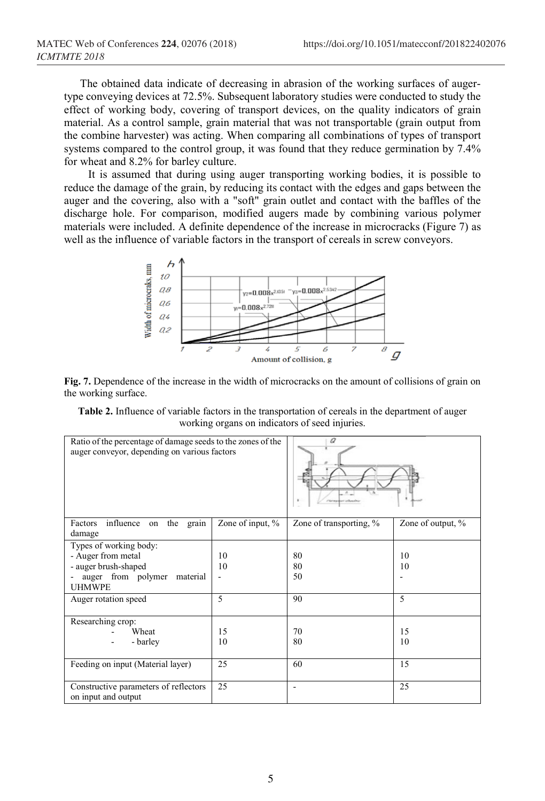The obtained data indicate of decreasing in abrasion of the working surfaces of augertype conveying devices at 72.5%. Subsequent laboratory studies were conducted to study the effect of working body, covering of transport devices, on the quality indicators of grain material. As a control sample, grain material that was not transportable (grain output from the combine harvester) was acting. When comparing all combinations of types of transport systems compared to the control group, it was found that they reduce germination by 7.4% for wheat and 8.2% for barley culture.

It is assumed that during using auger transporting working bodies, it is possible to reduce the damage of the grain, by reducing its contact with the edges and gaps between the auger and the covering, also with a "soft" grain outlet and contact with the baffles of the discharge hole. For comparison, modified augers made by combining various polymer materials were included. A definite dependence of the increase in microcracks (Figure 7) as well as the influence of variable factors in the transport of cereals in screw conveyors.



**Fig. 7.** Dependence of the increase in the width of microcracks on the amount of collisions of grain on the working surface.

**Table 2.** Influence of variable factors in the transportation of cereals in the department of auger working organs on indicators of seed injuries.

| Ratio of the percentage of damage seeds to the zones of the<br>auger conveyor, depending on various factors             |                  | a                       |                   |
|-------------------------------------------------------------------------------------------------------------------------|------------------|-------------------------|-------------------|
| influence<br>Factors<br>on the grain<br>damage                                                                          | Zone of input, % | Zone of transporting, % | Zone of output, % |
| Types of working body:<br>- Auger from metal<br>- auger brush-shaped<br>auger from polymer<br>material<br><b>UHMWPE</b> | 10<br>10         | 80<br>80<br>50          | 10<br>10          |
| Auger rotation speed                                                                                                    | 5                | 90                      | 5                 |
| Researching crop:<br>Wheat<br>- barley                                                                                  | 15<br>10         | 70<br>80                | 15<br>10          |
| Feeding on input (Material layer)                                                                                       | 25               | 60                      | 15                |
| Constructive parameters of reflectors<br>on input and output                                                            | 25               | ۰                       | 25                |